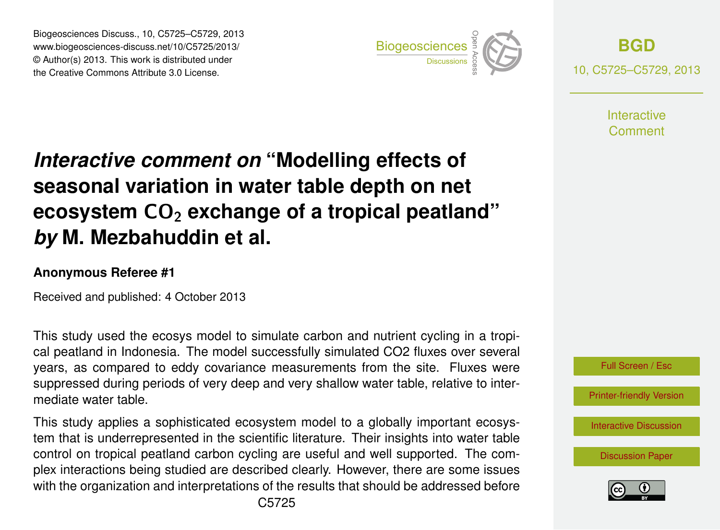Biogeosciences Discuss., 10, C5725–C5729, 2013 www.biogeosciences-discuss.net/10/C5725/2013/ www.biogeosciences-ulscuss.net/10/00720/2013/<br>© Author(s) 2013. This work is distributed under the Creative Commons Attribute 3.0 License.



**[BGD](http://www.biogeosciences-discuss.net)** 10, C5725–C5729, 2013

> **Interactive** Comment

#### Earth System seasonal variation in water table depth on net  $\mathbf{a}$ Open Access Interactive comment on "Modelling effects of **ecosystem CO<sub>2</sub> exchange of a tropical peatland"**  $dim$  ot c *by* M. Mezbahuddin et al.  $\overline{a}$

### **Anonymous Referee #1**

Received and published: 4 October 2013

This study used the ecosys model to simulate carbon and nutrient cycling in a tropiin<br> ์<br>า years, as compared to eddy covariance measurements from the site. Fluxes were suppressed during periods of very deep and very shallow water table, relative to intere<br>ءَ Open Access cal peatland in Indonesia. The model successfully simulated CO2 fluxes over several mediate water table.

This study applies a sophisticated ecosystem model to a globally important ecosyscontrol on tropical peatland carbon cycling are useful and well supported. The como<br>|ir<br>|ri at<br>Ir tem that is underrepresented in the scientific literature. Their insights into water table plex interactions being studied are described clearly. However, there are some issues with the organization and interpretations of the results that should be addressed before



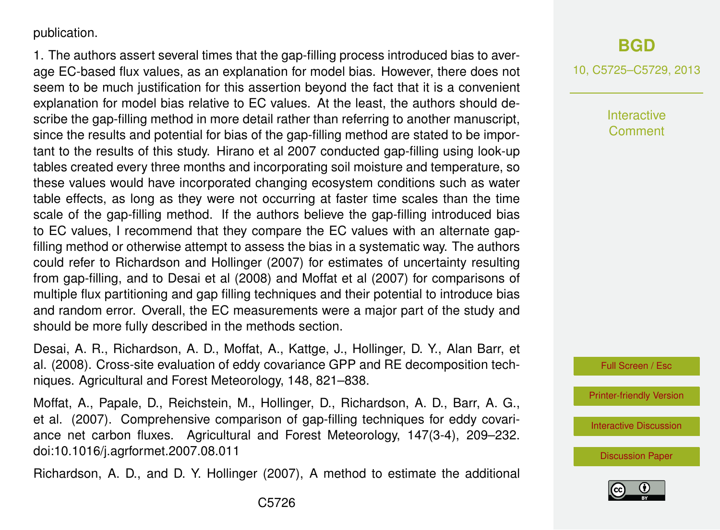publication.

1. The authors assert several times that the gap-filling process introduced bias to average EC-based flux values, as an explanation for model bias. However, there does not seem to be much justification for this assertion beyond the fact that it is a convenient explanation for model bias relative to EC values. At the least, the authors should describe the gap-filling method in more detail rather than referring to another manuscript, since the results and potential for bias of the gap-filling method are stated to be important to the results of this study. Hirano et al 2007 conducted gap-filling using look-up tables created every three months and incorporating soil moisture and temperature, so these values would have incorporated changing ecosystem conditions such as water table effects, as long as they were not occurring at faster time scales than the time scale of the gap-filling method. If the authors believe the gap-filling introduced bias to EC values, I recommend that they compare the EC values with an alternate gapfilling method or otherwise attempt to assess the bias in a systematic way. The authors could refer to Richardson and Hollinger (2007) for estimates of uncertainty resulting from gap-filling, and to Desai et al (2008) and Moffat et al (2007) for comparisons of multiple flux partitioning and gap filling techniques and their potential to introduce bias and random error. Overall, the EC measurements were a major part of the study and should be more fully described in the methods section.

Desai, A. R., Richardson, A. D., Moffat, A., Kattge, J., Hollinger, D. Y., Alan Barr, et al. (2008). Cross-site evaluation of eddy covariance GPP and RE decomposition techniques. Agricultural and Forest Meteorology, 148, 821–838.

Moffat, A., Papale, D., Reichstein, M., Hollinger, D., Richardson, A. D., Barr, A. G., et al. (2007). Comprehensive comparison of gap-filling techniques for eddy covariance net carbon fluxes. Agricultural and Forest Meteorology, 147(3-4), 209–232. doi:10.1016/j.agrformet.2007.08.011

Richardson, A. D., and D. Y. Hollinger (2007), A method to estimate the additional

# **[BGD](http://www.biogeosciences-discuss.net)**

10, C5725–C5729, 2013

**Interactive Comment** 



[Printer-friendly Version](http://www.biogeosciences-discuss.net/10/C5725/2013/bgd-10-C5725-2013-print.pdf)

[Interactive Discussion](http://www.biogeosciences-discuss.net/10/13353/2013/bgd-10-13353-2013-discussion.html)

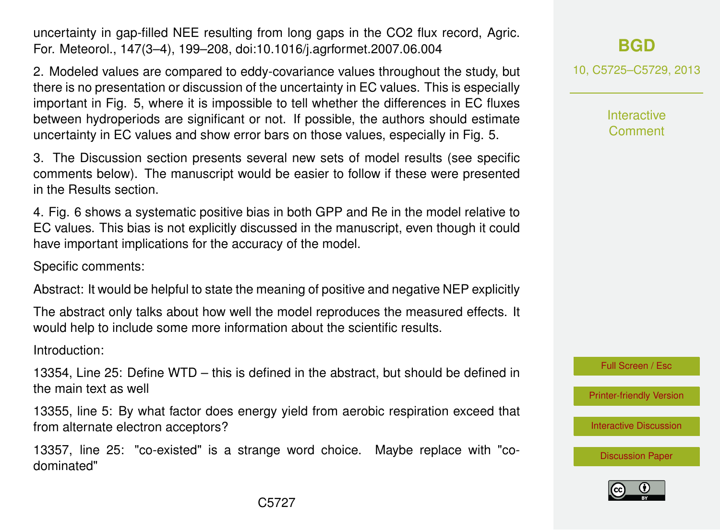uncertainty in gap-filled NEE resulting from long gaps in the CO2 flux record, Agric. For. Meteorol., 147(3–4), 199–208, doi:10.1016/j.agrformet.2007.06.004

2. Modeled values are compared to eddy-covariance values throughout the study, but there is no presentation or discussion of the uncertainty in EC values. This is especially important in Fig. 5, where it is impossible to tell whether the differences in EC fluxes between hydroperiods are significant or not. If possible, the authors should estimate uncertainty in EC values and show error bars on those values, especially in Fig. 5.

3. The Discussion section presents several new sets of model results (see specific comments below). The manuscript would be easier to follow if these were presented in the Results section.

4. Fig. 6 shows a systematic positive bias in both GPP and Re in the model relative to EC values. This bias is not explicitly discussed in the manuscript, even though it could have important implications for the accuracy of the model.

Specific comments:

Abstract: It would be helpful to state the meaning of positive and negative NEP explicitly

The abstract only talks about how well the model reproduces the measured effects. It would help to include some more information about the scientific results.

Introduction:

13354, Line 25: Define WTD – this is defined in the abstract, but should be defined in the main text as well

13355, line 5: By what factor does energy yield from aerobic respiration exceed that from alternate electron acceptors?

13357, line 25: "co-existed" is a strange word choice. Maybe replace with "codominated"

10, C5725–C5729, 2013

**Interactive Comment** 

Full Screen / Esc

[Printer-friendly Version](http://www.biogeosciences-discuss.net/10/C5725/2013/bgd-10-C5725-2013-print.pdf)

[Interactive Discussion](http://www.biogeosciences-discuss.net/10/13353/2013/bgd-10-13353-2013-discussion.html)

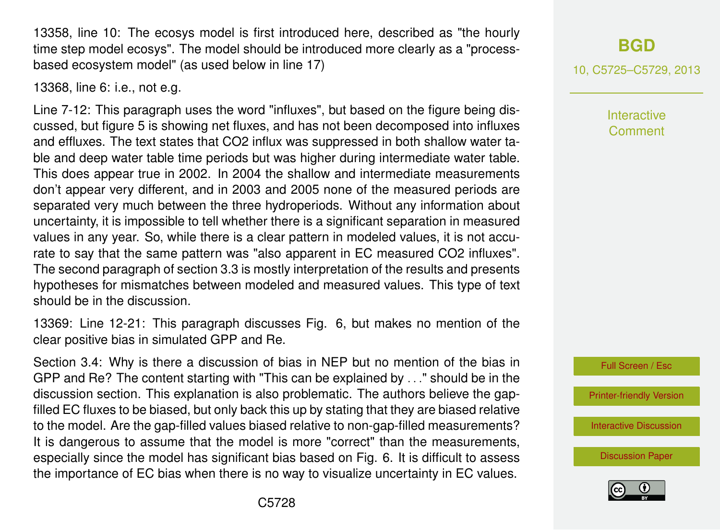13358, line 10: The ecosys model is first introduced here, described as "the hourly time step model ecosys". The model should be introduced more clearly as a "processbased ecosystem model" (as used below in line 17)

### 13368, line 6: i.e., not e.g.

Line 7-12: This paragraph uses the word "influxes", but based on the figure being discussed, but figure 5 is showing net fluxes, and has not been decomposed into influxes and effluxes. The text states that CO2 influx was suppressed in both shallow water table and deep water table time periods but was higher during intermediate water table. This does appear true in 2002. In 2004 the shallow and intermediate measurements don't appear very different, and in 2003 and 2005 none of the measured periods are separated very much between the three hydroperiods. Without any information about uncertainty, it is impossible to tell whether there is a significant separation in measured values in any year. So, while there is a clear pattern in modeled values, it is not accurate to say that the same pattern was "also apparent in EC measured CO2 influxes". The second paragraph of section 3.3 is mostly interpretation of the results and presents hypotheses for mismatches between modeled and measured values. This type of text should be in the discussion.

13369: Line 12-21: This paragraph discusses Fig. 6, but makes no mention of the clear positive bias in simulated GPP and Re.

Section 3.4: Why is there a discussion of bias in NEP but no mention of the bias in GPP and Re? The content starting with "This can be explained by . . ." should be in the discussion section. This explanation is also problematic. The authors believe the gapfilled EC fluxes to be biased, but only back this up by stating that they are biased relative to the model. Are the gap-filled values biased relative to non-gap-filled measurements? It is dangerous to assume that the model is more "correct" than the measurements, especially since the model has significant bias based on Fig. 6. It is difficult to assess the importance of EC bias when there is no way to visualize uncertainty in EC values.

10, C5725–C5729, 2013

Interactive Comment



[Printer-friendly Version](http://www.biogeosciences-discuss.net/10/C5725/2013/bgd-10-C5725-2013-print.pdf)

[Interactive Discussion](http://www.biogeosciences-discuss.net/10/13353/2013/bgd-10-13353-2013-discussion.html)